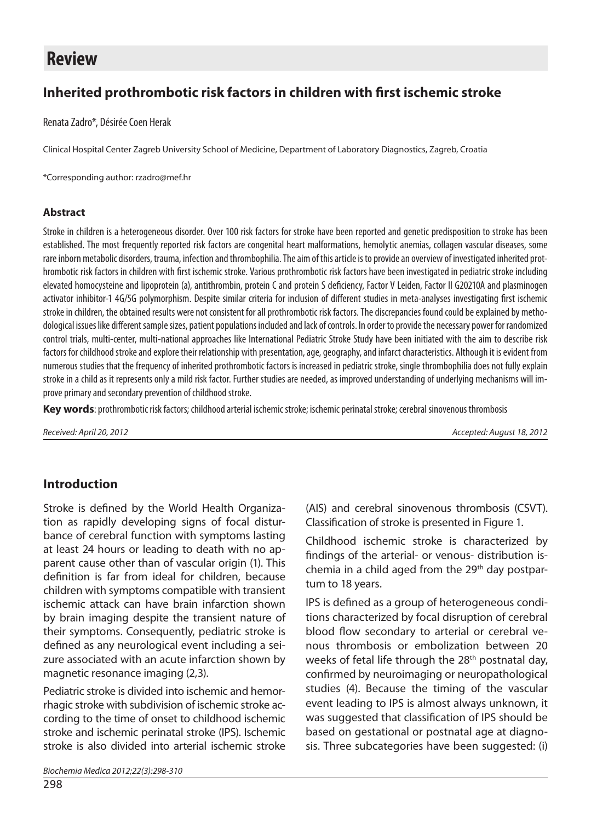# **Review**

## **Inherited prothrombotic risk factors in children with first ischemic stroke**

Renata Zadro\*, Désirée Coen Herak

Clinical Hospital Center Zagreb University School of Medicine, Department of Laboratory Diagnostics, Zagreb, Croatia

\*Corresponding author: rzadro@mef.hr

#### **Abstract**

Stroke in children is a heterogeneous disorder. Over 100 risk factors for stroke have been reported and genetic predisposition to stroke has been established. The most frequently reported risk factors are congenital heart malformations, hemolytic anemias, collagen vascular diseases, some rare inborn metabolic disorders, trauma, infection and thrombophilia. The aim of this article is to provide an overview of investigated inherited prothrombotic risk factors in children with first ischemic stroke. Various prothrombotic risk factors have been investigated in pediatric stroke including elevated homocysteine and lipoprotein (a), antithrombin, protein C and protein S deficiency, Factor V Leiden, Factor II G20210A and plasminogen activator inhibitor-1 4G/5G polymorphism. Despite similar criteria for inclusion of different studies in meta-analyses investigating first ischemic stroke in children, the obtained results were not consistent for all prothrombotic risk factors. The discrepancies found could be explained by methodological issues like different sample sizes, patient populations included and lack of controls. In order to provide the necessary power for randomized control trials, multi-center, multi-national approaches like International Pediatric Stroke Study have been initiated with the aim to describe risk factors for childhood stroke and explore their relationship with presentation, age, geography, and infarct characteristics. Although it is evident from numerous studies that the frequency of inherited prothrombotic factors is increased in pediatric stroke, single thrombophilia does not fully explain stroke in a child as it represents only a mild risk factor. Further studies are needed, as improved understanding of underlying mechanisms will improve primary and secondary prevention of childhood stroke.

**Key words**: prothrombotic risk factors; childhood arterial ischemic stroke; ischemic perinatal stroke; cerebral sinovenous thrombosis

*Received: April 20, 2012 Accepted: August 18, 2012*

## **Introduction**

Stroke is defined by the World Health Organization as rapidly developing signs of focal disturbance of cerebral function with symptoms lasting at least 24 hours or leading to death with no apparent cause other than of vascular origin (1). This definition is far from ideal for children, because children with symptoms compatible with transient ischemic attack can have brain infarction shown by brain imaging despite the transient nature of their symptoms. Consequently, pediatric stroke is defined as any neurological event including a seizure associated with an acute infarction shown by magnetic resonance imaging (2,3).

Pediatric stroke is divided into ischemic and hemorrhagic stroke with subdivision of ischemic stroke according to the time of onset to childhood ischemic stroke and ischemic perinatal stroke (IPS). Ischemic stroke is also divided into arterial ischemic stroke

*Biochemia Medica 2012;22(3):298-310* 

(AIS) and cerebral sinovenous thrombosis (CSVT). Classification of stroke is presented in Figure 1.

Childhood ischemic stroke is characterized by findings of the arterial- or venous- distribution ischemia in a child aged from the 29th day postpartum to 18 years.

IPS is defined as a group of heterogeneous conditions characterized by focal disruption of cerebral blood flow secondary to arterial or cerebral venous thrombosis or embolization between 20 weeks of fetal life through the 28<sup>th</sup> postnatal day, confirmed by neuroimaging or neuropathological studies (4). Because the timing of the vascular event leading to IPS is almost always unknown, it was suggested that classification of IPS should be based on gestational or postnatal age at diagnosis. Three subcategories have been suggested: (i)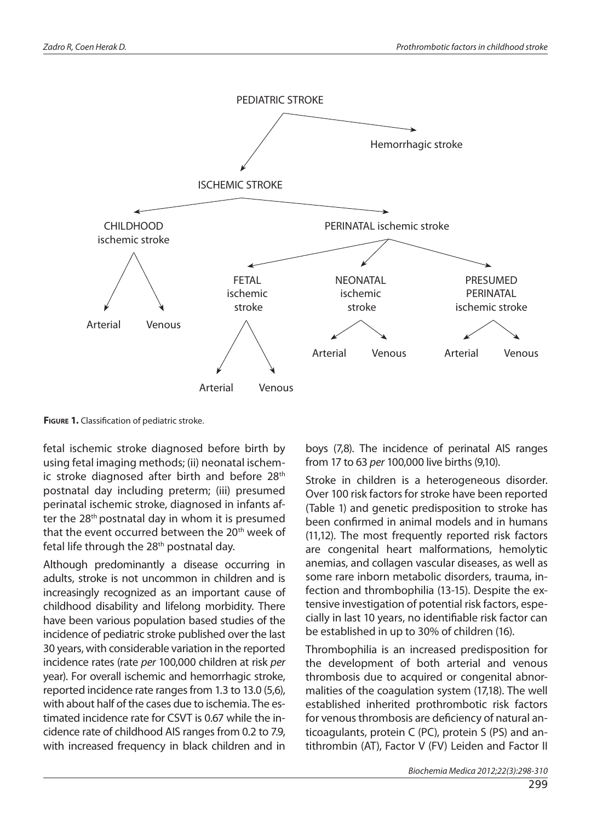

**Figure 1.** Classification of pediatric stroke.

fetal ischemic stroke diagnosed before birth by using fetal imaging methods; (ii) neonatal ischemic stroke diagnosed after birth and before 28<sup>th</sup> postnatal day including preterm; (iii) presumed perinatal ischemic stroke, diagnosed in infants after the 28<sup>th</sup> postnatal day in whom it is presumed that the event occurred between the 20<sup>th</sup> week of fetal life through the 28<sup>th</sup> postnatal day.

Although predominantly a disease occurring in adults, stroke is not uncommon in children and is increasingly recognized as an important cause of childhood disability and lifelong morbidity. There have been various population based studies of the incidence of pediatric stroke published over the last 30 years, with considerable variation in the reported incidence rates (rate *per* 100,000 children at risk *per* year). For overall ischemic and hemorrhagic stroke, reported incidence rate ranges from 1.3 to 13.0 (5,6), with about half of the cases due to ischemia. The estimated incidence rate for CSVT is 0.67 while the incidence rate of childhood AIS ranges from 0.2 to 7.9, with increased frequency in black children and in

boys (7,8). The incidence of perinatal AIS ranges from 17 to 63 *per* 100,000 live births (9,10).

Stroke in children is a heterogeneous disorder. Over 100 risk factors for stroke have been reported (Table 1) and genetic predisposition to stroke has been confirmed in animal models and in humans (11,12). The most frequently reported risk factors are congenital heart malformations, hemolytic anemias, and collagen vascular diseases, as well as some rare inborn metabolic disorders, trauma, infection and thrombophilia (13-15). Despite the extensive investigation of potential risk factors, especially in last 10 years, no identifiable risk factor can be established in up to 30% of children (16).

Thrombophilia is an increased predisposition for the development of both arterial and venous thrombosis due to acquired or congenital abnormalities of the coagulation system (17,18). The well established inherited prothrombotic risk factors for venous thrombosis are deficiency of natural anticoagulants, protein C (PC), protein S (PS) and antithrombin (AT), Factor V (FV) Leiden and Factor II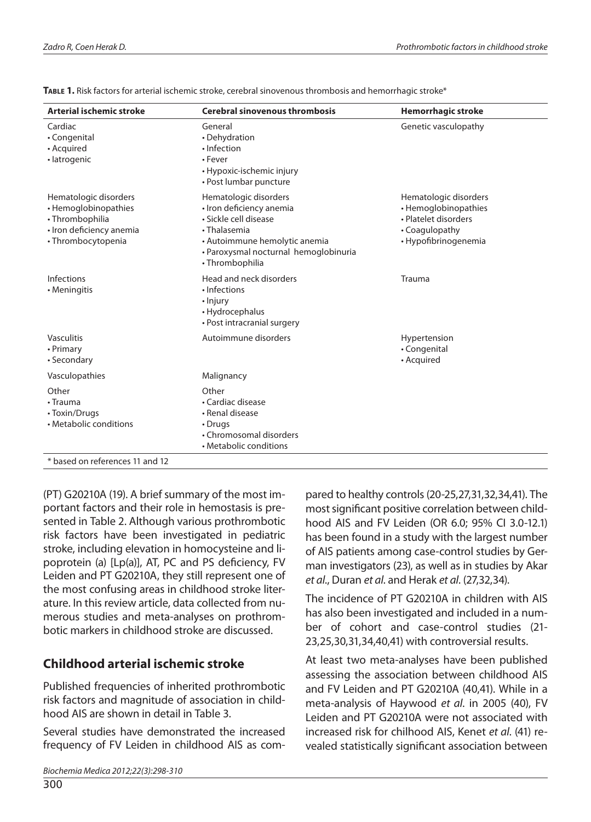| Arterial ischemic stroke                                                                                           | <b>Cerebral sinovenous thrombosis</b>                                                                                                                                                   | <b>Hemorrhagic stroke</b><br>Genetic vasculopathy                                                               |  |  |
|--------------------------------------------------------------------------------------------------------------------|-----------------------------------------------------------------------------------------------------------------------------------------------------------------------------------------|-----------------------------------------------------------------------------------------------------------------|--|--|
| Cardiac<br>• Congenital<br>• Acquired<br>· latrogenic                                                              | General<br>• Dehydration<br>· Infection<br>• Fever<br>• Hypoxic-ischemic injury<br>• Post lumbar puncture                                                                               |                                                                                                                 |  |  |
| Hematologic disorders<br>• Hemoglobinopathies<br>· Thrombophilia<br>· Iron deficiency anemia<br>• Thrombocytopenia | Hematologic disorders<br>• Iron deficiency anemia<br>· Sickle cell disease<br>• Thalasemia<br>• Autoimmune hemolytic anemia<br>· Paroxysmal nocturnal hemoglobinuria<br>• Thrombophilia | Hematologic disorders<br>• Hemoglobinopathies<br>• Platelet disorders<br>• Coagulopathy<br>· Hypofibrinogenemia |  |  |
| Infections<br>• Meningitis                                                                                         | Head and neck disorders<br>· Infections<br>• Injury<br>• Hydrocephalus<br>• Post intracranial surgery                                                                                   | Trauma                                                                                                          |  |  |
| Vasculitis<br>• Primary<br>• Secondary                                                                             | Autoimmune disorders                                                                                                                                                                    | Hypertension<br>• Congenital<br>• Acquired                                                                      |  |  |
| Vasculopathies                                                                                                     | Malignancy                                                                                                                                                                              |                                                                                                                 |  |  |
| Other<br>$\cdot$ Trauma<br>• Toxin/Drugs<br>• Metabolic conditions                                                 | Other<br>• Cardiac disease<br>• Renal disease<br>• Drugs<br>• Chromosomal disorders<br>• Metabolic conditions                                                                           |                                                                                                                 |  |  |
| * based on references 11 and 12                                                                                    |                                                                                                                                                                                         |                                                                                                                 |  |  |

**Table 1.** Risk factors for arterial ischemic stroke, cerebral sinovenous thrombosis and hemorrhagic stroke\*

(PT) G20210A (19). A brief summary of the most important factors and their role in hemostasis is presented in Table 2. Although various prothrombotic risk factors have been investigated in pediatric stroke, including elevation in homocysteine and lipoprotein (a) [Lp(a)], AT, PC and PS deficiency, FV Leiden and PT G20210A, they still represent one of the most confusing areas in childhood stroke literature. In this review article, data collected from numerous studies and meta-analyses on prothrombotic markers in childhood stroke are discussed.

## **Childhood arterial ischemic stroke**

Published frequencies of inherited prothrombotic risk factors and magnitude of association in childhood AIS are shown in detail in Table 3.

Several studies have demonstrated the increased frequency of FV Leiden in childhood AIS as compared to healthy controls (20-25,27,31,32,34,41). The most significant positive correlation between childhood AIS and FV Leiden (OR 6.0; 95% CI 3.0-12.1) has been found in a study with the largest number of AIS patients among case-control studies by German investigators (23), as well as in studies by Akar *et al*., Duran *et al*. and Herak *et al*. (27,32,34).

The incidence of PT G20210A in children with AIS has also been investigated and included in a number of cohort and case-control studies (21- 23,25,30,31,34,40,41) with controversial results.

At least two meta-analyses have been published assessing the association between childhood AIS and FV Leiden and PT G20210A (40,41). While in a meta-analysis of Haywood *et al*. in 2005 (40), FV Leiden and PT G20210A were not associated with increased risk for chilhood AIS, Kenet *et al*. (41) revealed statistically significant association between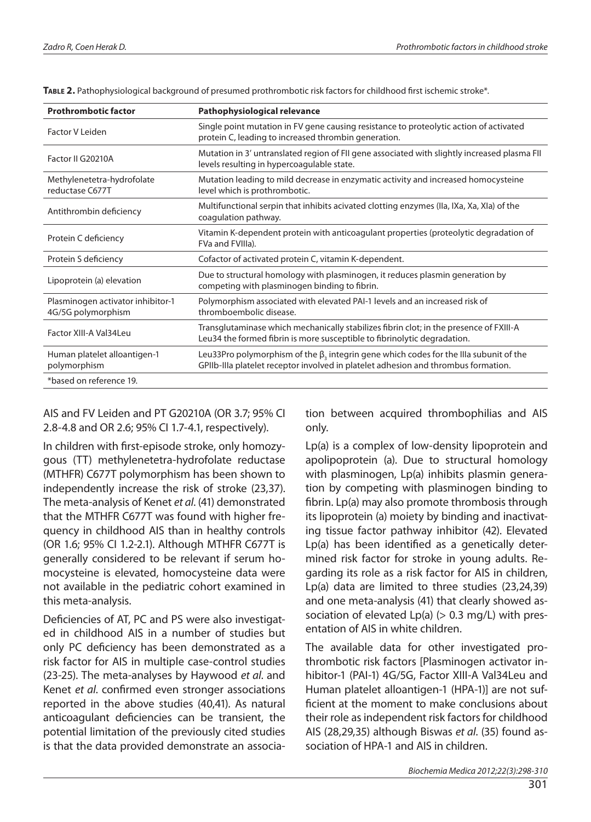| <b>Prothrombotic factor</b>                             | Pathophysiological relevance                                                                                                                                                       |
|---------------------------------------------------------|------------------------------------------------------------------------------------------------------------------------------------------------------------------------------------|
| Factor V Leiden                                         | Single point mutation in FV gene causing resistance to proteolytic action of activated<br>protein C, leading to increased thrombin generation.                                     |
| Factor II G20210A                                       | Mutation in 3' untranslated region of FII gene associated with slightly increased plasma FII<br>levels resulting in hypercoagulable state.                                         |
| Methylenetetra-hydrofolate<br>reductase C677T           | Mutation leading to mild decrease in enzymatic activity and increased homocysteine<br>level which is prothrombotic.                                                                |
| Antithrombin deficiency                                 | Multifunctional serpin that inhibits acivated clotting enzymes (IIa, IXa, Xa, XIa) of the<br>coagulation pathway.                                                                  |
| Protein C deficiency                                    | Vitamin K-dependent protein with anticoagulant properties (proteolytic degradation of<br>FVa and FVIIIa).                                                                          |
| Protein S deficiency                                    | Cofactor of activated protein C, vitamin K-dependent.                                                                                                                              |
| Lipoprotein (a) elevation                               | Due to structural homology with plasminogen, it reduces plasmin generation by<br>competing with plasminogen binding to fibrin.                                                     |
| Plasminogen activator inhibitor-1<br>4G/5G polymorphism | Polymorphism associated with elevated PAI-1 levels and an increased risk of<br>thromboembolic disease.                                                                             |
| Factor XIII-A Val34Leu                                  | Transglutaminase which mechanically stabilizes fibrin clot; in the presence of FXIII-A<br>Leu34 the formed fibrin is more susceptible to fibrinolytic degradation.                 |
| Human platelet alloantigen-1<br>polymorphism            | Leu33Pro polymorphism of the $\beta_3$ integrin gene which codes for the IIIa subunit of the<br>GPIIb-IIIa platelet receptor involved in platelet adhesion and thrombus formation. |
| *based on reference 19.                                 |                                                                                                                                                                                    |

**Table 2.** Pathophysiological background of presumed prothrombotic risk factors for childhood first ischemic stroke\*.

#### AIS and FV Leiden and PT G20210A (OR 3.7; 95% CI 2.8-4.8 and OR 2.6; 95% CI 1.7-4.1, respectively).

In children with first-episode stroke, only homozygous (TT) methylenetetra-hydrofolate reductase (MTHFR) C677T polymorphism has been shown to independently increase the risk of stroke (23,37). The meta-analysis of Kenet *et al*. (41) demonstrated that the MTHFR C677T was found with higher frequency in childhood AIS than in healthy controls (OR 1.6; 95% CI 1.2-2.1). Although MTHFR C677T is generally considered to be relevant if serum homocysteine is elevated, homocysteine data were not available in the pediatric cohort examined in this meta-analysis.

Deficiencies of AT, PC and PS were also investigated in childhood AIS in a number of studies but only PC deficiency has been demonstrated as a risk factor for AIS in multiple case-control studies (23-25). The meta-analyses by Haywood *et al*. and Kenet *et al*. confirmed even stronger associations reported in the above studies (40,41). As natural anticoagulant deficiencies can be transient, the potential limitation of the previously cited studies is that the data provided demonstrate an association between acquired thrombophilias and AIS only.

Lp(a) is a complex of low-density lipoprotein and apolipoprotein (a). Due to structural homology with plasminogen, Lp(a) inhibits plasmin generation by competing with plasminogen binding to fibrin. Lp(a) may also promote thrombosis through its lipoprotein (a) moiety by binding and inactivating tissue factor pathway inhibitor (42). Elevated Lp(a) has been identified as a genetically determined risk factor for stroke in young adults. Regarding its role as a risk factor for AIS in children, Lp(a) data are limited to three studies (23,24,39) and one meta-analysis (41) that clearly showed association of elevated  $Lp(a)$  (> 0.3 mg/L) with presentation of AIS in white children.

The available data for other investigated prothrombotic risk factors [Plasminogen activator inhibitor-1 (PAI-1) 4G/5G, Factor XIII-A Val34Leu and Human platelet alloantigen-1 (HPA-1)] are not sufficient at the moment to make conclusions about their role as independent risk factors for childhood AIS (28,29,35) although Biswas *et al*. (35) found association of HPA-1 and AIS in children.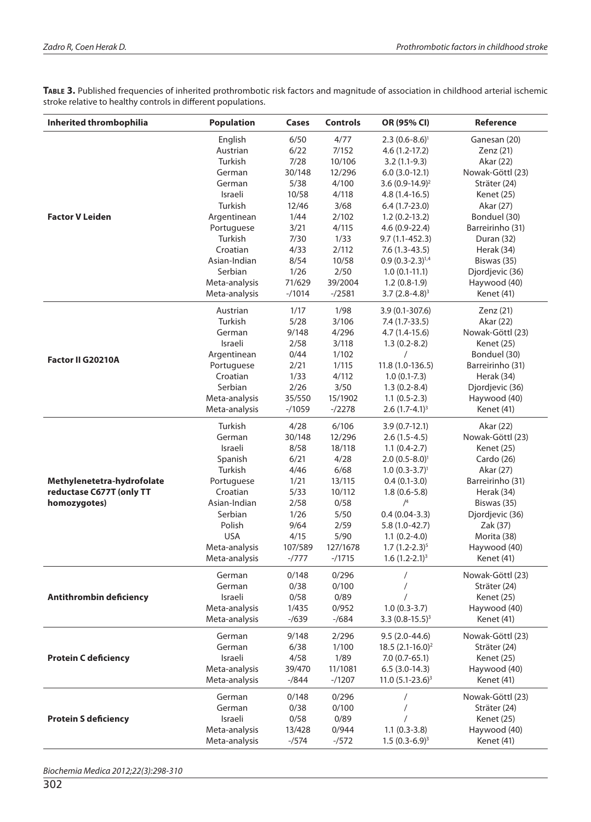TABLE 3. Published frequencies of inherited prothrombotic risk factors and magnitude of association in childhood arterial ischemic stroke relative to healthy controls in different populations.

| Inherited thrombophilia     | <b>Population</b>      | Cases          | <b>Controls</b> | OR (95% CI)                         | Reference                      |
|-----------------------------|------------------------|----------------|-----------------|-------------------------------------|--------------------------------|
|                             | English                | 6/50           | 4/77            | $2.3(0.6-8.6)^{1}$                  | Ganesan (20)                   |
|                             | Austrian               | 6/22           | 7/152           | $4.6(1.2-17.2)$                     | Zenz (21)                      |
|                             | Turkish                | 7/28           | 10/106          | $3.2(1.1-9.3)$                      | Akar (22)                      |
|                             | German                 | 30/148         | 12/296          | $6.0(3.0-12.1)$                     | Nowak-Göttl (23)               |
|                             | German                 | 5/38           | 4/100           | 3.6 $(0.9-14.9)^2$                  | Sträter (24)                   |
|                             | Israeli                | 10/58          | 4/118           | $4.8(1.4-16.5)$                     | Kenet (25)                     |
|                             | Turkish                | 12/46          | 3/68            | $6.4(1.7-23.0)$                     | Akar (27)                      |
| <b>Factor V Leiden</b>      | Argentinean            | 1/44           | 2/102           | $1.2(0.2-13.2)$                     | Bonduel (30)                   |
|                             | Portuguese             | 3/21           | 4/115           | 4.6 (0.9-22.4)                      | Barreirinho (31)               |
|                             | Turkish                | 7/30           | 1/33            | $9.7(1.1-452.3)$                    | Duran (32)                     |
|                             | Croatian               | 4/33           | 2/112           | $7.6(1.3-43.5)$                     | Herak (34)                     |
|                             | Asian-Indian           | 8/54           | 10/58           | $0.9(0.3-2.3)^{1,4}$                | Biswas (35)                    |
|                             | Serbian                | 1/26           | 2/50            | $1.0(0.1-11.1)$                     | Djordjevic (36)                |
|                             | Meta-analysis          | 71/629         | 39/2004         | $1.2(0.8-1.9)$                      | Haywood (40)                   |
|                             | Meta-analysis          | $-1014$        | $- / 2581$      | $3.7(2.8-4.8)^3$                    | Kenet (41)                     |
|                             | Austrian               | 1/17           | 1/98            | $3.9(0.1 - 307.6)$                  | Zenz (21)                      |
|                             | Turkish                | 5/28           | 3/106           | $7.4(1.7-33.5)$                     | Akar (22)                      |
|                             | German                 | 9/148          | 4/296           | $4.7(1.4-15.6)$                     | Nowak-Göttl (23)               |
|                             | Israeli                | 2/58           | 3/118           | $1.3(0.2-8.2)$                      | Kenet (25)                     |
| Factor II G20210A           | Argentinean            | 0/44<br>2/21   | 1/102<br>1/115  |                                     | Bonduel (30)                   |
|                             | Portuguese<br>Croatian | 1/33           | 4/112           | $11.8(1.0-136.5)$<br>$1.0(0.1-7.3)$ | Barreirinho (31)<br>Herak (34) |
|                             | Serbian                | 2/26           | 3/50            |                                     | Djordjevic (36)                |
|                             | Meta-analysis          | 35/550         | 15/1902         | $1.3(0.2-8.4)$<br>$1.1(0.5-2.3)$    | Haywood (40)                   |
|                             | Meta-analysis          | $-1059$        | $-/2278$        | $2.6(1.7-4.1)^3$                    | Kenet (41)                     |
|                             |                        |                |                 |                                     |                                |
|                             | Turkish<br>German      | 4/28<br>30/148 | 6/106<br>12/296 | $3.9(0.7-12.1)$                     | Akar (22)                      |
|                             | Israeli                | 8/58           | 18/118          | $2.6(1.5-4.5)$<br>$1.1(0.4-2.7)$    | Nowak-Göttl (23)<br>Kenet (25) |
|                             | Spanish                | 6/21           | 4/28            | $2.0(0.5-8.0)^{1}$                  | Cardo (26)                     |
|                             | Turkish                | 4/46           | 6/68            | $1.0 (0.3 - 3.7)^1$                 | Akar (27)                      |
| Methylenetetra-hydrofolate  | Portuguese             | 1/21           | 13/115          | $0.4(0.1-3.0)$                      | Barreirinho (31)               |
| reductase C677T (only TT    | Croatian               | 5/33           | 10/112          | $1.8(0.6 - 5.8)$                    | Herak (34)                     |
| homozygotes)                | Asian-Indian           | 2/58           | 0/58            | /4                                  | Biswas (35)                    |
|                             | Serbian                | 1/26           | $5/50$          | $0.4(0.04-3.3)$                     | Djordjevic (36)                |
|                             | Polish                 | 9/64           | 2/59            | $5.8(1.0-42.7)$                     | Zak (37)                       |
|                             | <b>USA</b>             | 4/15           | 5/90            | $1.1(0.2-4.0)$                      | Morita (38)                    |
|                             | Meta-analysis          | 107/589        | 127/1678        | $1.7(1.2-2.3)^5$                    | Haywood (40)                   |
|                             | Meta-analysis          | $-1777$        | $-1715$         | $1.6(1.2-2.1)^3$                    | Kenet (41)                     |
|                             | German                 | 0/148          | 0/296           | /                                   | Nowak-Göttl (23)               |
|                             | German                 | 0/38           | 0/100           |                                     | Sträter (24)                   |
| Antithrombin deficiency     | Israeli                | 0/58           | 0/89            |                                     | Kenet (25)                     |
|                             | Meta-analysis          | 1/435          | 0/952           | $1.0(0.3-3.7)$                      | Haywood (40)                   |
|                             | Meta-analysis          | $- / 639$      | $- / 684$       | 3.3 $(0.8-15.5)^3$                  | Kenet (41)                     |
|                             | German                 | 9/148          | 2/296           | $9.5(2.0-44.6)$                     | Nowak-Göttl (23)               |
|                             | German                 | 6/38           | 1/100           | $18.5(2.1-16.0)^2$                  | Sträter (24)                   |
| <b>Protein C deficiency</b> | Israeli                | 4/58           | 1/89            | $7.0(0.7-65.1)$                     | Kenet (25)                     |
|                             | Meta-analysis          | 39/470         | 11/1081         | $6.5(3.0-14.3)$                     | Haywood (40)                   |
|                             | Meta-analysis          | $-1844$        | $-1207$         | 11.0 $(5.1 - 23.6)^3$               | Kenet (41)                     |
|                             | German                 | 0/148          | 0/296           | $\prime$                            | Nowak-Göttl (23)               |
| <b>Protein S deficiency</b> | German                 | 0/38           | 0/100           |                                     | Sträter (24)                   |
|                             | Israeli                | 0/58           | 0/89            |                                     | Kenet (25)                     |
|                             | Meta-analysis          | 13/428         | 0/944           | $1.1(0.3-3.8)$                      | Haywood (40)                   |
|                             | Meta-analysis          | $-/574$        | $-1572$         | $1.5(0.3-6.9)^3$                    | Kenet (41)                     |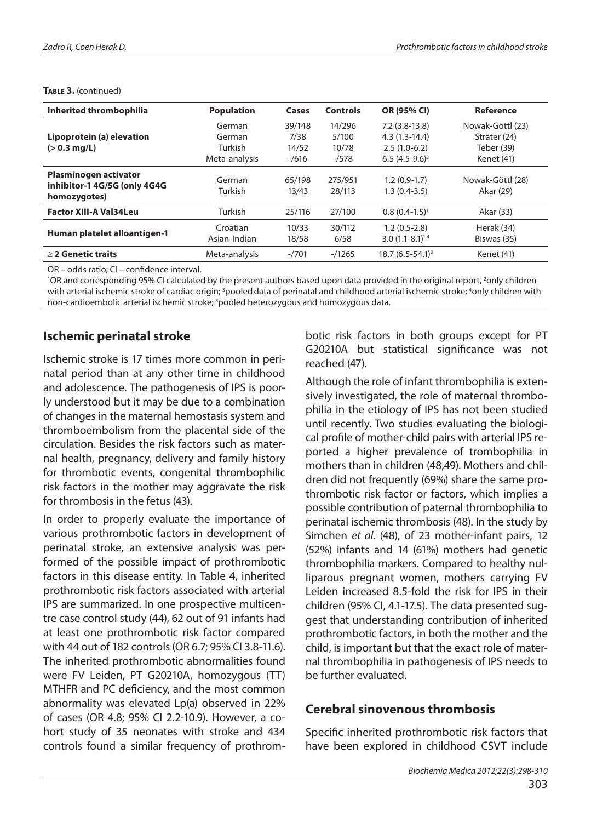| Inherited thrombophilia                                               | <b>Population</b>        | Cases           | <b>Controls</b>   | OR (95% CI)                            | Reference                     |
|-----------------------------------------------------------------------|--------------------------|-----------------|-------------------|----------------------------------------|-------------------------------|
|                                                                       | German                   | 39/148          | 14/296            | $7.2(3.8-13.8)$                        | Nowak-Göttl (23)              |
| Lipoprotein (a) elevation                                             | German                   | 7/38            | 5/100             | $4.3(1.3-14.4)$                        | Sträter (24)                  |
| $(> 0.3$ mg/L)                                                        | Turkish                  | 14/52           | 10/78             | $2.5(1.0-6.2)$                         | Teber (39)                    |
|                                                                       | Meta-analysis            | $-/616$         | $-1578$           | $6.5(4.5-9.6)^3$                       | Kenet (41)                    |
| Plasminogen activator<br>inhibitor-1 4G/5G (only 4G4G<br>homozygotes) | German<br>Turkish        | 65/198<br>13/43 | 275/951<br>28/113 | $1.2(0.9-1.7)$<br>$1.3(0.4-3.5)$       | Nowak-Göttl (28)<br>Akar (29) |
| <b>Factor XIII-A Val34Leu</b>                                         | Turkish                  | 25/116          | 27/100            | $0.8(0.4-1.5)^{1}$                     | Akar (33)                     |
| Human platelet alloantigen-1                                          | Croatian<br>Asian-Indian | 10/33<br>18/58  | 30/112<br>6/58    | $1.2(0.5-2.8)$<br>$3.0(1.1-8.1)^{1.4}$ | Herak (34)<br>Biswas (35)     |
| $\geq$ 2 Genetic traits                                               | Meta-analysis            | $-7701$         | $-1265$           | $18.7(6.5-54.1)^3$                     | Kenet (41)                    |

#### TABLE 3. (continued)

OR – odds ratio; CI – confidence interval.

'OR and corresponding 95% CI calculated by the present authors based upon data provided in the original report, <sup>2</sup>only children with arterial ischemic stroke of cardiac origin; <sup>3</sup>pooled data of perinatal and childhood arterial ischemic stroke; <sup>4</sup>only children with non-cardioembolic arterial ischemic stroke; <sup>5</sup>pooled heterozygous and homozygous data.

#### **Ischemic perinatal stroke**

Ischemic stroke is 17 times more common in perinatal period than at any other time in childhood and adolescence. The pathogenesis of IPS is poorly understood but it may be due to a combination of changes in the maternal hemostasis system and thromboembolism from the placental side of the circulation. Besides the risk factors such as maternal health, pregnancy, delivery and family history for thrombotic events, congenital thrombophilic risk factors in the mother may aggravate the risk for thrombosis in the fetus (43).

In order to properly evaluate the importance of various prothrombotic factors in development of perinatal stroke, an extensive analysis was performed of the possible impact of prothrombotic factors in this disease entity. In Table 4, inherited prothrombotic risk factors associated with arterial IPS are summarized. In one prospective multicentre case control study (44), 62 out of 91 infants had at least one prothrombotic risk factor compared with 44 out of 182 controls (OR 6.7; 95% CI 3.8-11.6). The inherited prothrombotic abnormalities found were FV Leiden, PT G20210A, homozygous (TT) MTHFR and PC deficiency, and the most common abnormality was elevated Lp(a) observed in 22% of cases (OR 4.8; 95% CI 2.2-10.9). However, a cohort study of 35 neonates with stroke and 434 controls found a similar frequency of prothrombotic risk factors in both groups except for PT G20210A but statistical significance was not reached (47).

Although the role of infant thrombophilia is extensively investigated, the role of maternal thrombophilia in the etiology of IPS has not been studied until recently. Two studies evaluating the biological profile of mother-child pairs with arterial IPS reported a higher prevalence of trombophilia in mothers than in children (48,49). Mothers and children did not frequently (69%) share the same prothrombotic risk factor or factors, which implies a possible contribution of paternal thrombophilia to perinatal ischemic thrombosis (48). In the study by Simchen *et al*. (48), of 23 mother-infant pairs, 12 (52%) infants and 14 (61%) mothers had genetic thrombophilia markers. Compared to healthy nulliparous pregnant women, mothers carrying FV Leiden increased 8.5-fold the risk for IPS in their children (95% CI, 4.1-17.5). The data presented suggest that understanding contribution of inherited prothrombotic factors, in both the mother and the child, is important but that the exact role of maternal thrombophilia in pathogenesis of IPS needs to be further evaluated.

#### **Cerebral sinovenous thrombosis**

Specific inherited prothrombotic risk factors that have been explored in childhood CSVT include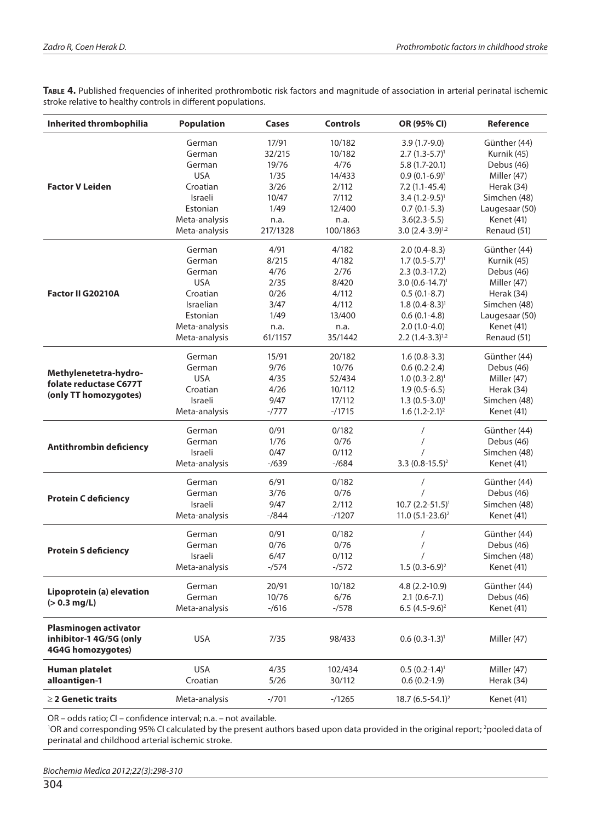TABLE 4. Published frequencies of inherited prothrombotic risk factors and magnitude of association in arterial perinatal ischemic stroke relative to healthy controls in different populations.

| Inherited thrombophilia                             | <b>Population</b> | Cases     | <b>Controls</b> | OR (95% CI)                  | <b>Reference</b> |
|-----------------------------------------------------|-------------------|-----------|-----------------|------------------------------|------------------|
|                                                     | German            | 17/91     | 10/182          | $3.9(1.7-9.0)$               | Günther (44)     |
|                                                     | German            | 32/215    | 10/182          | $2.7(1.3-5.7)^{1}$           | Kurnik (45)      |
|                                                     | German            | 19/76     | 4/76            | $5.8(1.7-20.1)$              | Debus (46)       |
| <b>Factor V Leiden</b>                              | <b>USA</b>        | 1/35      | 14/433          | $0.9(0.1-6.9)^{1}$           | Miller (47)      |
|                                                     | Croatian          | 3/26      | 2/112           | $7.2(1.1-45.4)$              | Herak (34)       |
|                                                     | Israeli           | 10/47     | 7/112           | $3.4(1.2-9.5)^{1}$           | Simchen (48)     |
|                                                     | Estonian          | 1/49      | 12/400          | $0.7(0.1-5.3)$               | Laugesaar (50)   |
|                                                     | Meta-analysis     | n.a.      | n.a.            | $3.6(2.3-5.5)$               | Kenet (41)       |
|                                                     | Meta-analysis     | 217/1328  | 100/1863        | $3.0 (2.4 - 3.9)^{1.2}$      | Renaud (51)      |
|                                                     | German            | 4/91      | 4/182           | $2.0(0.4-8.3)$               | Günther (44)     |
|                                                     | German            | 8/215     | 4/182           | $1.7(0.5-5.7)^{1}$           | Kurnik (45)      |
|                                                     | German            | 4/76      | 2/76            | $2.3(0.3-17.2)$              | Debus (46)       |
|                                                     | <b>USA</b>        | 2/35      | 8/420           | $3.0 (0.6 - 14.7)^1$         | Miller (47)      |
| <b>Factor II G20210A</b>                            | Croatian          | 0/26      | 4/112           | $0.5(0.1-8.7)$               | Herak (34)       |
|                                                     | Israelian         | 3/47      | 4/112           | $1.8(0.4 - 8.3)^1$           | Simchen (48)     |
|                                                     | Estonian          | 1/49      | 13/400          | $0.6(0.1-4.8)$               | Laugesaar (50)   |
|                                                     | Meta-analysis     | n.a.      | n.a.            | $2.0(1.0-4.0)$               | Kenet (41)       |
|                                                     | Meta-analysis     | 61/1157   | 35/1442         | $2.2 (1.4 - 3.3)^{1.2}$      | Renaud (51)      |
|                                                     | German            | 15/91     | 20/182          | $1.6(0.8-3.3)$               | Günther (44)     |
|                                                     | German            | 9/76      | 10/76           | $0.6(0.2-2.4)$               | Debus (46)       |
| Methylenetetra-hydro-<br>folate reductase C677T     | <b>USA</b>        | 4/35      | 52/434          | $1.0(0.3-2.8)^{1}$           | Miller (47)      |
|                                                     | Croatian          | 4/26      | 10/112          | $1.9(0.5-6.5)$               | Herak (34)       |
| (only TT homozygotes)                               | Israeli           | 9/47      | 17/112          | $1.3(0.5-3.0)^{1}$           | Simchen (48)     |
|                                                     | Meta-analysis     | $-1777$   | $-1715$         | $1.6(1.2-2.1)^2$             | Kenet (41)       |
|                                                     | German            | 0/91      | 0/182           | $\prime$                     | Günther (44)     |
| <b>Antithrombin deficiency</b>                      | German            | 1/76      | 0/76            |                              | Debus (46)       |
|                                                     | Israeli           | 0/47      | 0/112           |                              | Simchen (48)     |
|                                                     | Meta-analysis     | $- / 639$ | $- / 684$       | 3.3 $(0.8-15.5)^2$           | Kenet (41)       |
|                                                     | German            | 6/91      | 0/182           |                              | Günther (44)     |
| <b>Protein C deficiency</b>                         | German            | 3/76      | 0/76            |                              | Debus (46)       |
|                                                     | Israeli           | 9/47      | 2/112           | $10.7 (2.2 - 51.5)^1$        | Simchen (48)     |
|                                                     | Meta-analysis     | $-1844$   | $-1207$         | 11.0 $(5.1 - 23.6)^2$        | Kenet (41)       |
|                                                     | German            | 0/91      | 0/182           | $\prime$                     | Günther (44)     |
| <b>Protein S deficiency</b>                         | German            | 0/76      | 0/76            |                              | Debus (46)       |
|                                                     | Israeli           | 6/47      | 0/112           |                              | Simchen (48)     |
|                                                     | Meta-analysis     | $-1574$   | $-1572$         | $1.5(0.3-6.9)^2$             | Kenet (41)       |
| Lipoprotein (a) elevation<br>$(> 0.3$ mg/L)         | German            | 20/91     | 10/182          | 4.8 (2.2-10.9)               | Günther (44)     |
|                                                     | German            | 10/76     | 6/76            | $2.1(0.6-7.1)$               | Debus (46)       |
|                                                     | Meta-analysis     | $-/616$   | $-/578$         | 6.5 $(4.5-9.6)^2$            | Kenet (41)       |
| Plasminogen activator                               |                   |           |                 |                              |                  |
| inhibitor-1 4G/5G (only<br><b>4G4G homozygotes)</b> | <b>USA</b>        | 7/35      | 98/433          | $0.6(0.3-1.3)^{1}$           | Miller (47)      |
| <b>Human platelet</b>                               | <b>USA</b>        | 4/35      | 102/434         | $0.5(0.2-1.4)^{1}$           | Miller (47)      |
| alloantigen-1                                       | Croatian          | 5/26      | 30/112          | $0.6(0.2-1.9)$               | Herak (34)       |
|                                                     |                   |           |                 |                              |                  |
| $\geq$ 2 Genetic traits                             | Meta-analysis     | $-7701$   | $-1265$         | 18.7 (6.5-54.1) <sup>2</sup> | Kenet (41)       |

OR – odds ratio; CI – confidence interval; n.a. – not available.

<sup>1</sup>OR and corresponding 95% CI calculated by the present authors based upon data provided in the original report; <sup>2</sup>pooled data of perinatal and childhood arterial ischemic stroke.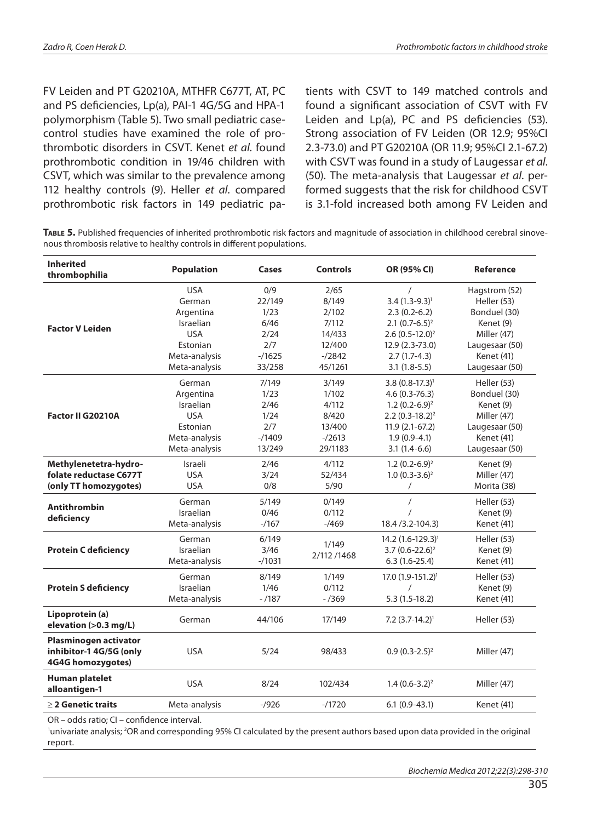FV Leiden and PT G20210A, MTHFR C677T, AT, PC and PS deficiencies, Lp(a), PAI-1 4G/5G and HPA-1 polymorphism (Table 5). Two small pediatric casecontrol studies have examined the role of prothrombotic disorders in CSVT. Kenet *et al*. found prothrombotic condition in 19/46 children with CSVT, which was similar to the prevalence among 112 healthy controls (9). Heller *et al*. compared prothrombotic risk factors in 149 pediatric patients with CSVT to 149 matched controls and found a significant association of CSVT with FV Leiden and Lp(a), PC and PS deficiencies (53). Strong association of FV Leiden (OR 12.9; 95%CI 2.3-73.0) and PT G20210A (OR 11.9; 95%CI 2.1-67.2) with CSVT was found in a study of Laugessar *et al*. (50). The meta-analysis that Laugessar *et al*. performed suggests that the risk for childhood CSVT is 3.1-fold increased both among FV Leiden and

**Table 5.** Published frequencies of inherited prothrombotic risk factors and magnitude of association in childhood cerebral sinovenous thrombosis relative to healthy controls in different populations.

| <b>Inherited</b><br>thrombophilia            | <b>Population</b> | Cases   | <b>Controls</b> | OR (95% CI)                   | Reference      |
|----------------------------------------------|-------------------|---------|-----------------|-------------------------------|----------------|
| <b>Factor V Leiden</b>                       | <b>USA</b>        | 0/9     | 2/65            |                               | Hagstrom (52)  |
|                                              | German            | 22/149  | 8/149           | $3.4 (1.3 - 9.3)^1$           | Heller (53)    |
|                                              | Argentina         | 1/23    | 2/102           | $2.3(0.2-6.2)$                | Bonduel (30)   |
|                                              | Israelian         | 6/46    | 7/112           | $2.1 (0.7 - 6.5)^2$           | Kenet (9)      |
|                                              | <b>USA</b>        | 2/24    | 14/433          | $2.6(0.5-12.0)^2$             | Miller (47)    |
|                                              | Estonian          | 2/7     | 12/400          | 12.9 (2.3-73.0)               | Laugesaar (50) |
|                                              | Meta-analysis     | $-1625$ | $- / 2842$      | $2.7(1.7-4.3)$                | Kenet (41)     |
|                                              | Meta-analysis     | 33/258  | 45/1261         | $3.1(1.8-5.5)$                | Laugesaar (50) |
|                                              | German            | 7/149   | 3/149           | $3.8(0.8-17.3)^{1}$           | Heller (53)    |
|                                              | Argentina         | 1/23    | 1/102           | $4.6(0.3 - 76.3)$             | Bonduel (30)   |
|                                              | Israelian         | 2/46    | 4/112           | $1.2(0.2-6.9)^2$              | Kenet (9)      |
| <b>Factor II G20210A</b>                     | <b>USA</b>        | 1/24    | 8/420           | $2.2 (0.3 - 18.2)^2$          | Miller (47)    |
|                                              | Estonian          | 2/7     | 13/400          | $11.9(2.1-67.2)$              | Laugesaar (50) |
|                                              | Meta-analysis     | $-1409$ | $-2613$         | $1.9(0.9-4.1)$                | Kenet (41)     |
|                                              | Meta-analysis     | 13/249  | 29/1183         | $3.1(1.4-6.6)$                | Laugesaar (50) |
| Methylenetetra-hydro-                        | Israeli           | 2/46    | 4/112           | $1.2(0.2-6.9)^2$              | Kenet (9)      |
| folate reductase C677T                       | <b>USA</b>        | 3/24    | 52/434          | $1.0 (0.3 - 3.6)^2$           | Miller (47)    |
| (only TT homozygotes)                        | <b>USA</b>        | 0/8     | 5/90            | $\prime$                      | Morita (38)    |
|                                              | German            | 5/149   | 0/149           | 7                             | Heller (53)    |
| <b>Antithrombin</b>                          | Israelian         | 0/46    | 0/112           |                               | Kenet (9)      |
| deficiency                                   | Meta-analysis     | $-1167$ | $-7469$         | 18.4 / 3.2 - 104.3)           | Kenet (41)     |
|                                              | German            | 6/149   |                 | 14.2 (1.6-129.3) <sup>1</sup> | Heller (53)    |
| <b>Protein C deficiency</b>                  | Israelian         | 3/46    | 1/149           | $3.7(0.6 - 22.6)^2$           | Kenet (9)      |
|                                              | Meta-analysis     | $-1031$ | 2/112/1468      | $6.3(1.6-25.4)$               | Kenet (41)     |
|                                              | German            | 8/149   | 1/149           | $17.0(1.9-151.2)^{1}$         | Heller (53)    |
| <b>Protein S deficiency</b>                  | Israelian         | 1/46    | 0/112           |                               | Kenet (9)      |
|                                              | Meta-analysis     | $-/187$ | $- / 369$       | $5.3(1.5-18.2)$               | Kenet (41)     |
| Lipoprotein (a)<br>elevation (>0.3 mg/L)     | German            | 44/106  | 17/149          | $7.2 (3.7 - 14.2)^1$          | Heller (53)    |
| Plasminogen activator                        |                   |         |                 |                               |                |
| inhibitor-1 4G/5G (only<br>4G4G homozygotes) | <b>USA</b>        | 5/24    | 98/433          | $0.9(0.3-2.5)^2$              | Miller (47)    |
| <b>Human platelet</b><br>alloantigen-1       | <b>USA</b>        | 8/24    | 102/434         | $1.4(0.6-3.2)^2$              | Miller (47)    |
| $\geq$ 2 Genetic traits                      | Meta-analysis     | $-1926$ | $-1720$         | $6.1(0.9-43.1)$               | Kenet (41)     |
|                                              |                   |         |                 |                               |                |

OR – odds ratio; CI – confidence interval.

lunivariate analysis; <sup>2</sup>OR and corresponding 95% CI calculated by the present authors based upon data provided in the original report.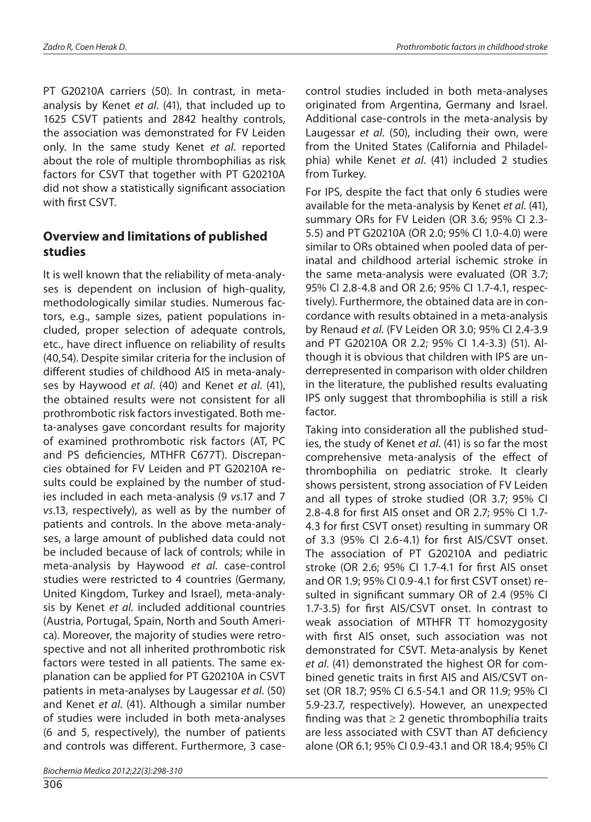PT G20210A carriers (50). In contrast, in metaanalysis by Kenet *et al*. (41), that included up to 1625 CSVT patients and 2842 healthy controls, the association was demonstrated for FV Leiden only. In the same study Kenet *et al*. reported about the role of multiple thrombophilias as risk factors for CSVT that together with PT G20210A did not show a statistically significant association with first CSVT.

#### **Overview and limitations of published studies**

It is well known that the reliability of meta-analyses is dependent on inclusion of high-quality, methodologically similar studies. Numerous factors, e.g., sample sizes, patient populations included, proper selection of adequate controls, etc., have direct influence on reliability of results (40,54). Despite similar criteria for the inclusion of different studies of childhood AIS in meta-analyses by Haywood *et al*. (40) and Kenet *et al*. (41), the obtained results were not consistent for all prothrombotic risk factors investigated. Both meta-analyses gave concordant results for majority of examined prothrombotic risk factors (AT, PC and PS deficiencies, MTHFR C677T). Discrepancies obtained for FV Leiden and PT G20210A results could be explained by the number of studies included in each meta-analysis (9 *vs*.17 and 7 *vs*.13, respectively), as well as by the number of patients and controls. In the above meta-analyses, a large amount of published data could not be included because of lack of controls; while in meta-analysis by Haywood *et al*. case-control studies were restricted to 4 countries (Germany, United Kingdom, Turkey and Israel), meta-analysis by Kenet *et al*. included additional countries (Austria, Portugal, Spain, North and South America). Moreover, the majority of studies were retrospective and not all inherited prothrombotic risk factors were tested in all patients. The same explanation can be applied for PT G20210A in CSVT patients in meta-analyses by Laugessar *et al*. (50) and Kenet *et al*. (41). Although a similar number of studies were included in both meta-analyses (6 and 5, respectively), the number of patients and controls was different. Furthermore, 3 case-

306

control studies included in both meta-analyses originated from Argentina, Germany and Israel. Additional case-controls in the meta-analysis by Laugessar *et al*. (50), including their own, were from the United States (California and Philadelphia) while Kenet *et al*. (41) included 2 studies from Turkey.

For IPS, despite the fact that only 6 studies were available for the meta-analysis by Kenet *et al*. (41), summary ORs for FV Leiden (OR 3.6; 95% CI 2.3- 5.5) and PT G20210A (OR 2.0; 95% CI 1.0-4.0) were similar to ORs obtained when pooled data of perinatal and childhood arterial ischemic stroke in the same meta-analysis were evaluated (OR 3.7; 95% CI 2.8-4.8 and OR 2.6; 95% CI 1.7-4.1, respectively). Furthermore, the obtained data are in concordance with results obtained in a meta-analysis by Renaud *et al*. (FV Leiden OR 3.0; 95% CI 2.4-3.9 and PT G20210A OR 2.2; 95% CI 1.4-3.3) (51). Although it is obvious that children with IPS are underrepresented in comparison with older children in the literature, the published results evaluating IPS only suggest that thrombophilia is still a risk factor.

Taking into consideration all the published studies, the study of Kenet *et al*. (41) is so far the most comprehensive meta-analysis of the effect of thrombophilia on pediatric stroke. It clearly shows persistent, strong association of FV Leiden and all types of stroke studied (OR 3.7; 95% CI 2.8-4.8 for first AIS onset and OR 2.7; 95% CI 1.7- 4.3 for first CSVT onset) resulting in summary OR of 3.3 (95% CI 2.6-4.1) for first AIS/CSVT onset. The association of PT G20210A and pediatric stroke (OR 2.6; 95% CI 1.7-4.1 for first AIS onset and OR 1.9; 95% CI 0.9-4.1 for first CSVT onset) resulted in significant summary OR of 2.4 (95% CI 1.7-3.5) for first AIS/CSVT onset. In contrast to weak association of MTHFR TT homozygosity with first AIS onset, such association was not demonstrated for CSVT. Meta-analysis by Kenet *et al*. (41) demonstrated the highest OR for combined genetic traits in first AIS and AIS/CSVT onset (OR 18.7; 95% CI 6.5-54.1 and OR 11.9; 95% CI 5.9-23.7, respectively). However, an unexpected finding was that  $\geq 2$  genetic thrombophilia traits are less associated with CSVT than AT deficiency alone (OR 6.1; 95% CI 0.9-43.1 and OR 18.4; 95% CI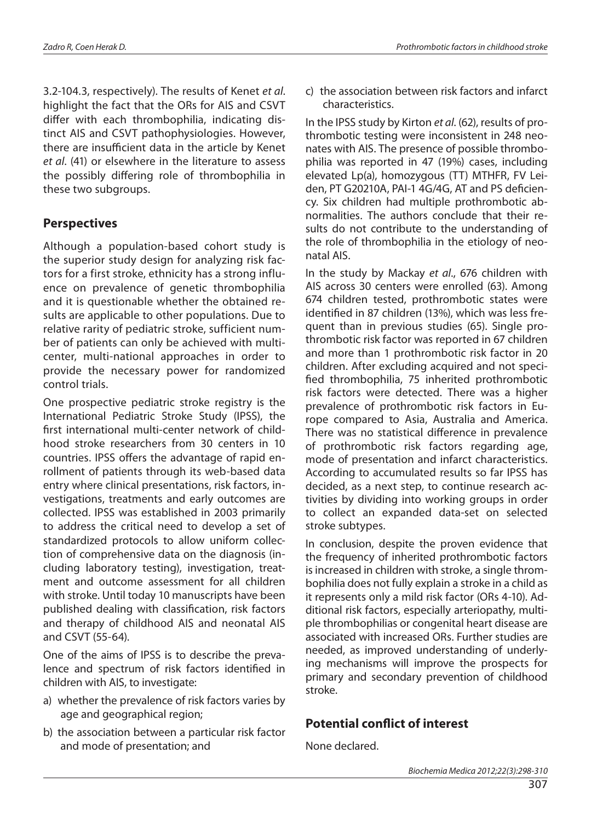3.2-104.3, respectively). The results of Kenet *et al*. highlight the fact that the ORs for AIS and CSVT differ with each thrombophilia, indicating distinct AIS and CSVT pathophysiologies. However, there are insufficient data in the article by Kenet *et al*. (41) or elsewhere in the literature to assess the possibly differing role of thrombophilia in these two subgroups.

## **Perspectives**

Although a population-based cohort study is the superior study design for analyzing risk factors for a first stroke, ethnicity has a strong influence on prevalence of genetic thrombophilia and it is questionable whether the obtained results are applicable to other populations. Due to relative rarity of pediatric stroke, sufficient number of patients can only be achieved with multicenter, multi-national approaches in order to provide the necessary power for randomized control trials.

One prospective pediatric stroke registry is the International Pediatric Stroke Study (IPSS), the first international multi-center network of childhood stroke researchers from 30 centers in 10 countries. IPSS offers the advantage of rapid enrollment of patients through its web-based data entry where clinical presentations, risk factors, investigations, treatments and early outcomes are collected. IPSS was established in 2003 primarily to address the critical need to develop a set of standardized protocols to allow uniform collection of comprehensive data on the diagnosis (including laboratory testing), investigation, treatment and outcome assessment for all children with stroke. Until today 10 manuscripts have been published dealing with classification, risk factors and therapy of childhood AIS and neonatal AIS and CSVT (55-64).

One of the aims of IPSS is to describe the prevalence and spectrum of risk factors identified in children with AIS, to investigate:

- a) whether the prevalence of risk factors varies by age and geographical region;
- b) the association between a particular risk factor and mode of presentation; and

c) the association between risk factors and infarct characteristics.

In the IPSS study by Kirton *et al*. (62), results of prothrombotic testing were inconsistent in 248 neonates with AIS. The presence of possible thrombophilia was reported in 47 (19%) cases, including elevated Lp(a), homozygous (TT) MTHFR, FV Leiden, PT G20210A, PAI-1 4G/4G, AT and PS deficiency. Six children had multiple prothrombotic abnormalities. The authors conclude that their results do not contribute to the understanding of the role of thrombophilia in the etiology of neonatal AIS.

In the study by Mackay *et al*., 676 children with AIS across 30 centers were enrolled (63). Among 674 children tested, prothrombotic states were identified in 87 children (13%), which was less frequent than in previous studies (65). Single prothrombotic risk factor was reported in 67 children and more than 1 prothrombotic risk factor in 20 children. After excluding acquired and not specified thrombophilia, 75 inherited prothrombotic risk factors were detected. There was a higher prevalence of prothrombotic risk factors in Europe compared to Asia, Australia and America. There was no statistical difference in prevalence of prothrombotic risk factors regarding age, mode of presentation and infarct characteristics. According to accumulated results so far IPSS has decided, as a next step, to continue research activities by dividing into working groups in order to collect an expanded data-set on selected stroke subtypes.

In conclusion, despite the proven evidence that the frequency of inherited prothrombotic factors is increased in children with stroke, a single thrombophilia does not fully explain a stroke in a child as it represents only a mild risk factor (ORs 4-10). Additional risk factors, especially arteriopathy, multiple thrombophilias or congenital heart disease are associated with increased ORs. Further studies are needed, as improved understanding of underlying mechanisms will improve the prospects for primary and secondary prevention of childhood stroke.

## **Potential conflict of interest**

None declared.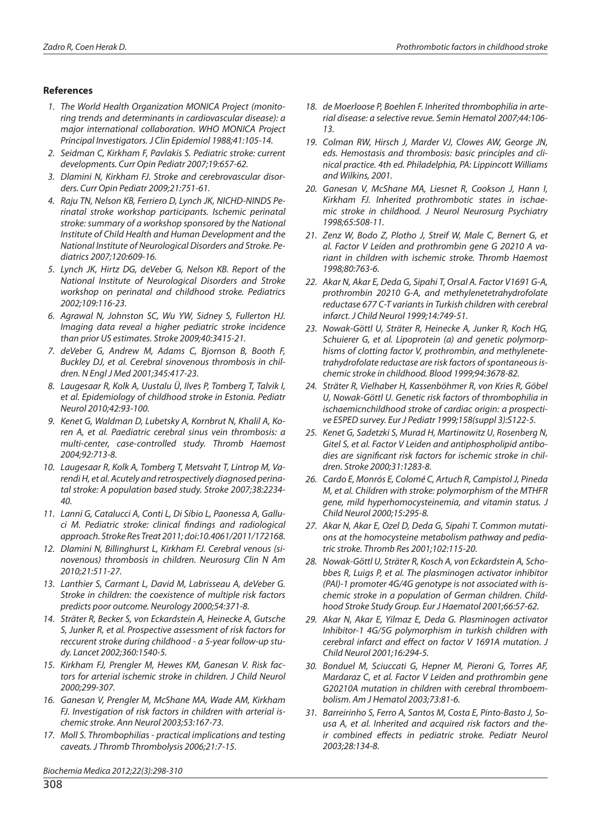#### **References**

- *1. The World Health Organization MONICA Project (monitoring trends and determinants in cardiovascular disease): a major international collaboration. WHO MONICA Project Principal Investigators. J Clin Epidemiol 1988;41:105-14.*
- *2. Seidman C, Kirkham F, Pavlakis S. Pediatric stroke: current developments. Curr Opin Pediatr 2007;19:657-62.*
- *3. Dlamini N, Kirkham FJ. Stroke and cerebrovascular disorders. Curr Opin Pediatr 2009;21:751-61.*
- *4. Raju TN, Nelson KB, Ferriero D, Lynch JK, NICHD-NINDS Perinatal stroke workshop participants. Ischemic perinatal stroke: summary of a workshop sponsored by the National Institute of Child Health and Human Development and the National Institute of Neurological Disorders and Stroke. Pediatrics 2007;120:609-16.*
- *5. Lynch JK, Hirtz DG, deVeber G, Nelson KB. Report of the National Institute of Neurological Disorders and Stroke workshop on perinatal and childhood stroke. Pediatrics 2002;109:116-23.*
- *6. Agrawal N, Johnston SC, Wu YW, Sidney S, Fullerton HJ. Imaging data reveal a higher pediatric stroke incidence than prior US estimates. Stroke 2009;40:3415-21.*
- *7. deVeber G, Andrew M, Adams C, Bjornson B, Booth F, Buckley DJ, et al. Cerebral sinovenous thrombosis in children. N Engl J Med 2001;345:417-23.*
- *8. Laugesaar R, Kolk A, Uustalu Ü, Ilves P, Tomberg T, Talvik I, et al. Epidemiology of childhood stroke in Estonia. Pediatr Neurol 2010;42:93-100.*
- *9. Kenet G, Waldman D, Lubetsky A, Kornbrut N, Khalil A, Koren A, et al. Paediatric cerebral sinus vein thrombosis: a multi-center, case-controlled study. Thromb Haemost 2004;92:713-8.*
- *10. Laugesaar R, Kolk A, Tomberg T, Metsvaht T, Lintrop M, Varendi H, et al. Acutely and retrospectively diagnosed perinatal stroke: A population based study. Stroke 2007;38:2234- 40.*
- *11. Lanni G, Catalucci A, Conti L, Di Sibio L, Paonessa A, Galluci M. Pediatric stroke: clinical findings and radiological approach. Stroke Res Treat 2011; doi:10.4061/2011/172168.*
- *12. Dlamini N, Billinghurst L, Kirkham FJ. Cerebral venous (sinovenous) thrombosis in children. Neurosurg Clin N Am 2010;21:511-27.*
- *13. Lanthier S, Carmant L, David M, Labrisseau A, deVeber G. Stroke in children: the coexistence of multiple risk factors predicts poor outcome. Neurology 2000;54:371-8.*
- *14. Sträter R, Becker S, von Eckardstein A, Heinecke A, Gutsche S, Junker R, et al. Prospective assessment of risk factors for reccurent stroke during childhood - a 5-year follow-up study. Lancet 2002;360:1540-5.*
- *15. Kirkham FJ, Prengler M, Hewes KM, Ganesan V. Risk factors for arterial ischemic stroke in children. J Child Neurol 2000;299-307.*
- *16. Ganesan V, Prengler M, McShane MA, Wade AM, Kirkham FJ. Investigation of risk factors in children with arterial ischemic stroke. Ann Neurol 2003;53:167-73.*
- *17. Moll S. Thrombophilias practical implications and testing caveats. J Thromb Thrombolysis 2006;21:7-15.*

*18. de Moerloose P, Boehlen F. Inherited thrombophilia in arterial disease: a selective revue. Semin Hematol 2007;44:106- 13.*

- *19. Colman RW, Hirsch J, Marder VJ, Clowes AW, George JN, eds. Hemostasis and thrombosis: basic principles and clinical practice. 4th ed. Philadelphia, PA: Lippincott Williams and Wilkins, 2001.*
- *20. Ganesan V, McShane MA, Liesnet R, Cookson J, Hann I, Kirkham FJ. Inherited prothrombotic states in ischaemic stroke in childhood. J Neurol Neurosurg Psychiatry 1998;65:508-11.*
- *21. Zenz W, Bodo Z, Plotho J, Streif W, Male C, Bernert G, et al. Factor V Leiden and prothrombin gene G 20210 A variant in children with ischemic stroke. Thromb Haemost 1998;80:763-6.*
- *22. Akar N, Akar E, Deda G, Sipahi T, Orsal A. Factor V1691 G-A, prothrombin 20210 G-A, and methylenetetrahydrofolate reductase 677 C-T variants in Turkish children with cerebral infarct. J Child Neurol 1999;14:749-51.*
- *23. Nowak-Göttl U, Sträter R, Heinecke A, Junker R, Koch HG, Schuierer G, et al. Lipoprotein (a) and genetic polymorphisms of clotting factor V, prothrombin, and methylenetetrahydrofolate reductase are risk factors of spontaneous ischemic stroke in childhood. Blood 1999;94:3678-82.*
- *24. Sträter R, Vielhaber H, Kassenböhmer R, von Kries R, Göbel U, Nowak-Göttl U. Genetic risk factors of thrombophilia in ischaemicnchildhood stroke of cardiac origin: a prospective ESPED survey. Eur J Pediatr 1999;158(suppl 3):S122-5.*
- *25. Kenet G, Sadetzki S, Murad H, Martinowitz U, Rosenberg N, Gitel S, et al. Factor V Leiden and antiphospholipid antibodies are significant risk factors for ischemic stroke in children. Stroke 2000;31:1283-8.*
- *26. Cardo E, Monrós E, Colomé C, Artuch R, Campistol J, Pineda M, et al. Children with stroke: polymorphism of the MTHFR gene, mild hyperhomocysteinemia, and vitamin status. J Child Neurol 2000;15:295-8.*
- *27. Akar N, Akar E, Ozel D, Deda G, Sipahi T. Common mutations at the homocysteine metabolism pathway and pediatric stroke. Thromb Res 2001;102:115-20.*
- *28. Nowak-Göttl U, Sträter R, Kosch A, von Eckardstein A, Schobbes R, Luigs P, et al. The plasminogen activator inhibitor (PAI)-1 promoter 4G/4G genotype is not associated with ischemic stroke in a population of German children. Childhood Stroke Study Group. Eur J Haematol 2001;66:57-62.*
- *29. Akar N, Akar E, Yilmaz E, Deda G. Plasminogen activator Inhibitor-1 4G/5G polymorphism in turkish children with cerebral infarct and effect on factor V 1691A mutation. J Child Neurol 2001;16:294-5.*
- *30. Bonduel M, Sciuccati G, Hepner M, Pieroni G, Torres AF, Mardaraz C, et al. Factor V Leiden and prothrombin gene G20210A mutation in children with cerebral thromboembolism. Am J Hematol 2003;73:81-6.*
- *31. Barreirinho S, Ferro A, Santos M, Costa E, Pinto-Basto J, Sousa A, et al. Inherited and acquired risk factors and their combined effects in pediatric stroke. Pediatr Neurol 2003;28:134-8.*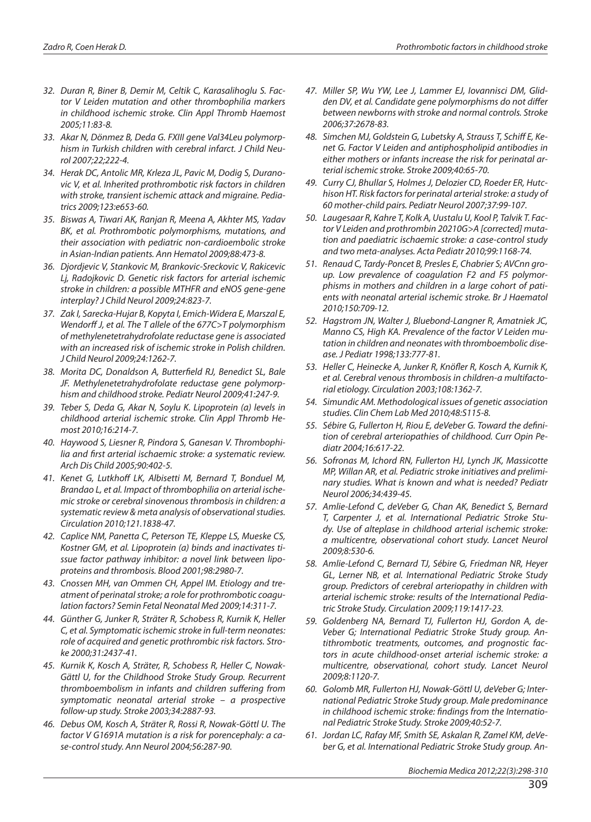- *32. Duran R, Biner B, Demir M, Celtik C, Karasalihoglu S. Factor V Leiden mutation and other thrombophilia markers in childhood ischemic stroke. Clin Appl Thromb Haemost 2005;11:83-8.*
- *33. Akar N, Dönmez B, Deda G. FXIII gene Val34Leu polymorphism in Turkish children with cerebral infarct. J Child Neurol 2007;22;222-4.*
- *34. Herak DC, Antolic MR, Krleza JL, Pavic M, Dodig S, Duranovic V, et al. Inherited prothrombotic risk factors in children with stroke, transient ischemic attack and migraine. Pediatrics 2009;123:e653-60.*
- *35. Biswas A, Tiwari AK, Ranjan R, Meena A, Akhter MS, Yadav BK, et al. Prothrombotic polymorphisms, mutations, and their association with pediatric non-cardioembolic stroke in Asian-Indian patients. Ann Hematol 2009;88:473-8.*
- *36. Djordjevic V, Stankovic M, Brankovic-Sreckovic V, Rakicevic Lj, Radojkovic D. Genetic risk factors for arterial ischemic stroke in children: a possible MTHFR and eNOS gene-gene interplay? J Child Neurol 2009;24:823-7.*
- *37. Zak I, Sarecka-Hujar B, Kopyta I, Emich-Widera E, Marszal E, Wendorff J, et al. The T allele of the 677C>T polymorphism of methylenetetrahydrofolate reductase gene is associated with an increased risk of ischemic stroke in Polish children. J Child Neurol 2009;24:1262-7.*
- *38. Morita DC, Donaldson A, Butterfield RJ, Benedict SL, Bale JF. Methylenetetrahydrofolate reductase gene polymorphism and childhood stroke. Pediatr Neurol 2009;41:247-9.*
- *39. Teber S, Deda G, Akar N, Soylu K. Lipoprotein (a) levels in childhood arterial ischemic stroke. Clin Appl Thromb Hemost 2010;16:214-7.*
- *40. Haywood S, Liesner R, Pindora S, Ganesan V. Thrombophilia and first arterial ischaemic stroke: a systematic review. Arch Dis Child 2005;90:402-5.*
- *41. Kenet G, Lutkhoff LK, Albisetti M, Bernard T, Bonduel M, Brandao L, et al. Impact of thrombophilia on arterial ischemic stroke or cerebral sinovenous thrombosis in children: a systematic review & meta analysis of observational studies. Circulation 2010;121.1838-47.*
- *42. Caplice NM, Panetta C, Peterson TE, Kleppe LS, Mueske CS, Kostner GM, et al. Lipoprotein (a) binds and inactivates tissue factor pathway inhibitor: a novel link between lipoproteins and thrombosis. Blood 2001;98:2980-7.*
- *43. Cnossen MH, van Ommen CH, Appel IM. Etiology and treatment of perinatal stroke; a role for prothrombotic coagulation factors? Semin Fetal Neonatal Med 2009;14:311-7.*
- *44. Günther G, Junker R, Sträter R, Schobess R, Kurnik K, Heller C, et al. Symptomatic ischemic stroke in full-term neonates: role of acquired and genetic prothrombic risk factors. Stroke 2000;31:2437-41.*
- *45. Kurnik K, Kosch A, Sträter, R, Schobess R, Heller C, Nowak-Gättl U, for the Childhood Stroke Study Group. Recurrent thromboembolism in infants and children suffering from symptomatic neonatal arterial stroke – a prospective follow-up study. Stroke 2003;34:2887-93.*
- *46. Debus OM, Kosch A, Sträter R, Rossi R, Nowak-Göttl U. The factor V G1691A mutation is a risk for porencephaly: a case-control study. Ann Neurol 2004;56:287-90.*
- *47. Miller SP, Wu YW, Lee J, Lammer EJ, Iovannisci DM, Glidden DV, et al. Candidate gene polymorphisms do not differ between newborns with stroke and normal controls. Stroke 2006;37:2678-83.*
- *48. Simchen MJ, Goldstein G, Lubetsky A, Strauss T, Schiff E, Kenet G. Factor V Leiden and antiphospholipid antibodies in either mothers or infants increase the risk for perinatal arterial ischemic stroke. Stroke 2009;40:65-70.*
- *49. Curry CJ, Bhullar S, Holmes J, Delozier CD, Roeder ER, Hutchison HT. Risk factors for perinatal arterial stroke: a study of 60 mother-child pairs. Pediatr Neurol 2007;37:99-107.*
- *50. Laugesaar R, Kahre T, Kolk A, Uustalu U, Kool P, Talvik T. Factor V Leiden and prothrombin 20210G>A [corrected] mutation and paediatric ischaemic stroke: a case-control study and two meta-analyses. Acta Pediatr 2010;99:1168-74.*
- *51. Renaud C, Tardy-Poncet B, Presles E, Chabrier S; AVCnn group. Low prevalence of coagulation F2 and F5 polymorphisms in mothers and children in a large cohort of patients with neonatal arterial ischemic stroke. Br J Haematol 2010;150:709-12.*
- *52. Hagstrom JN, Walter J, Bluebond-Langner R, Amatniek JC, Manno CS, High KA. Prevalence of the factor V Leiden mutation in children and neonates with thromboembolic disease. J Pediatr 1998;133:777-81.*
- *53. Heller C, Heinecke A, Junker R, Knöfler R, Kosch A, Kurnik K, et al. Cerebral venous thrombosis in children-a multifactorial etiology. Circulation 2003;108:1362-7.*
- *54. Simundic AM. Methodological issues of genetic association studies. Clin Chem Lab Med 2010;48:S115-8.*
- *55. Sébire G, Fullerton H, Riou E, deVeber G. Toward the definition of cerebral arteriopathies of childhood. Curr Opin Pediatr 2004;16:617-22.*
- *56. Sofronas M, Ichord RN, Fullerton HJ, Lynch JK, Massicotte MP, Willan AR, et al. Pediatric stroke initiatives and preliminary studies. What is known and what is needed? Pediatr Neurol 2006;34:439-45.*
- *57. Amlie-Lefond C, deVeber G, Chan AK, Benedict S, Bernard T, Carpenter J, et al. International Pediatric Stroke Study. Use of alteplase in childhood arterial ischemic stroke: a multicentre, observational cohort study. Lancet Neurol 2009;8:530-6.*
- *58. Amlie-Lefond C, Bernard TJ, Sébire G, Friedman NR, Heyer GL, Lerner NB, et al. International Pediatric Stroke Study group. Predictors of cerebral arteriopathy in children with arterial ischemic stroke: results of the International Pediatric Stroke Study. Circulation 2009;119:1417-23.*
- *59. Goldenberg NA, Bernard TJ, Fullerton HJ, Gordon A, de-Veber G; International Pediatric Stroke Study group. Antithrombotic treatments, outcomes, and prognostic factors in acute childhood-onset arterial ischemic stroke: a multicentre, observational, cohort study. Lancet Neurol 2009;8:1120-7.*
- *60. Golomb MR, Fullerton HJ, Nowak-Göttl U, deVeber G; International Pediatric Stroke Study group. Male predominance in childhood ischemic stroke: findings from the International Pediatric Stroke Study. Stroke 2009;40:52-7.*
- *61. Jordan LC, Rafay MF, Smith SE, Askalan R, Zamel KM, deVeber G, et al. International Pediatric Stroke Study group. An-*